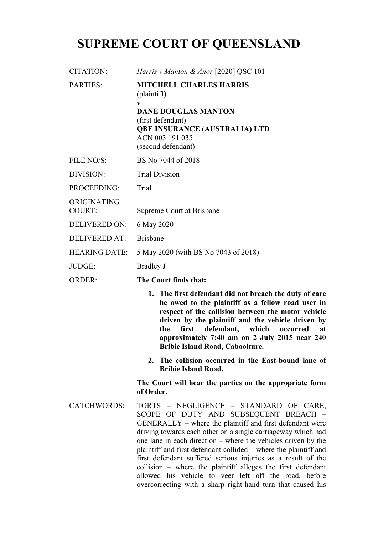# **SUPREME COURT OF QUEENSLAND**

| CITATION:                    | <i>Harris v Manton &amp; Anor</i> [2020] QSC 101                                                                                                                                                                                                                                                                                                                           |
|------------------------------|----------------------------------------------------------------------------------------------------------------------------------------------------------------------------------------------------------------------------------------------------------------------------------------------------------------------------------------------------------------------------|
| <b>PARTIES:</b>              | <b>MITCHELL CHARLES HARRIS</b><br>(plaintiff)<br>$\mathbf{V}$<br><b>DANE DOUGLAS MANTON</b><br>(first defendant)<br><b>QBE INSURANCE (AUSTRALIA) LTD</b><br>ACN 003 191 035<br>(second defendant)                                                                                                                                                                          |
| <b>FILE NO/S:</b>            | BS No 7044 of 2018                                                                                                                                                                                                                                                                                                                                                         |
| <b>DIVISION:</b>             | <b>Trial Division</b>                                                                                                                                                                                                                                                                                                                                                      |
| <b>PROCEEDING:</b>           | Trial                                                                                                                                                                                                                                                                                                                                                                      |
| ORIGINATING<br><b>COURT:</b> | Supreme Court at Brisbane                                                                                                                                                                                                                                                                                                                                                  |
| <b>DELIVERED ON:</b>         | 6 May 2020                                                                                                                                                                                                                                                                                                                                                                 |
| <b>DELIVERED AT:</b>         | <b>Brisbane</b>                                                                                                                                                                                                                                                                                                                                                            |
| <b>HEARING DATE:</b>         | 5 May 2020 (with BS No 7043 of 2018)                                                                                                                                                                                                                                                                                                                                       |
| JUDGE:                       | <b>Bradley J</b>                                                                                                                                                                                                                                                                                                                                                           |
| <b>ORDER:</b>                | The Court finds that:                                                                                                                                                                                                                                                                                                                                                      |
|                              | 1. The first defendant did not breach the duty of care<br>he owed to the plaintiff as a fellow road user in<br>respect of the collision between the motor vehicle<br>driven by the plaintiff and the vehicle driven by<br>first<br>defendant,<br>which<br>the<br>occurred<br>at<br>approximately 7:40 am on 2 July 2015 near 240<br><b>Bribie Island Road, Caboolture.</b> |

**2. The collision occurred in the East-bound lane of Bribie Island Road.**

**The Court will hear the parties on the appropriate form of Order.**

CATCHWORDS: TORTS – NEGLIGENCE – STANDARD OF CARE, SCOPE OF DUTY AND SUBSEQUENT BREACH – GENERALLY – where the plaintiff and first defendant were driving towards each other on a single carriageway which had one lane in each direction – where the vehicles driven by the plaintiff and first defendant collided – where the plaintiff and first defendant suffered serious injuries as a result of the collision – where the plaintiff alleges the first defendant allowed his vehicle to veer left off the road, before overcorrecting with a sharp right-hand turn that caused his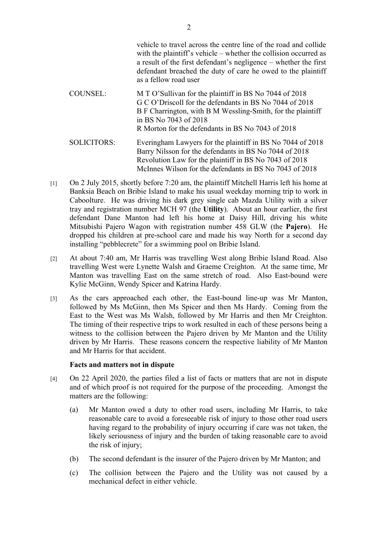vehicle to travel across the centre line of the road and collide with the plaintiff's vehicle – whether the collision occurred as a result of the first defendant's negligence – whether the first defendant breached the duty of care he owed to the plaintiff as a fellow road user COUNSEL: M T O'Sullivan for the plaintiff in BS No 7044 of 2018 G C O'Driscoll for the defendants in BS No 7044 of 2018 B F Charrington, with B M Wessling-Smith, for the plaintiff in BS No 7043 of 2018 R Morton for the defendants in BS No 7043 of 2018

SOLICITORS: Everingham Lawyers for the plaintiff in BS No 7044 of 2018 Barry Nilsson for the defendants in BS No 7044 of 2018 Revolution Law for the plaintiff in BS No 7043 of 2018 McInnes Wilson for the defendants in BS No 7043 of 2018

- [1] On 2 July 2015, shortly before 7:20 am, the plaintiff Mitchell Harris left his home at Banksia Beach on Bribie Island to make his usual weekday morning trip to work in Caboolture. He was driving his dark grey single cab Mazda Utility with a silver tray and registration number MCH 97 (the **Utility**). About an hour earlier, the first defendant Dane Manton had left his home at Daisy Hill, driving his white Mitsubishi Pajero Wagon with registration number 458 GLW (the **Pajero**). He dropped his children at pre-school care and made his way North for a second day installing "pebblecrete" for a swimming pool on Bribie Island.
- [2] At about 7:40 am, Mr Harris was travelling West along Bribie Island Road. Also travelling West were Lynette Walsh and Graeme Creighton. At the same time, Mr Manton was travelling East on the same stretch of road. Also East-bound were Kylie McGinn, Wendy Spicer and Katrina Hardy.
- [3] As the cars approached each other, the East-bound line-up was Mr Manton, followed by Ms McGinn, then Ms Spicer and then Ms Hardy. Coming from the East to the West was Ms Walsh, followed by Mr Harris and then Mr Creighton. The timing of their respective trips to work resulted in each of these persons being a witness to the collision between the Pajero driven by Mr Manton and the Utility driven by Mr Harris. These reasons concern the respective liability of Mr Manton and Mr Harris for that accident.

#### **Facts and matters not in dispute**

- [4] On 22 April 2020, the parties filed a list of facts or matters that are not in dispute and of which proof is not required for the purpose of the proceeding. Amongst the matters are the following:
	- (a) Mr Manton owed a duty to other road users, including Mr Harris, to take reasonable care to avoid a foreseeable risk of injury to those other road users having regard to the probability of injury occurring if care was not taken, the likely seriousness of injury and the burden of taking reasonable care to avoid the risk of injury;
	- (b) The second defendant is the insurer of the Pajero driven by Mr Manton; and
	- (c) The collision between the Pajero and the Utility was not caused by a mechanical defect in either vehicle.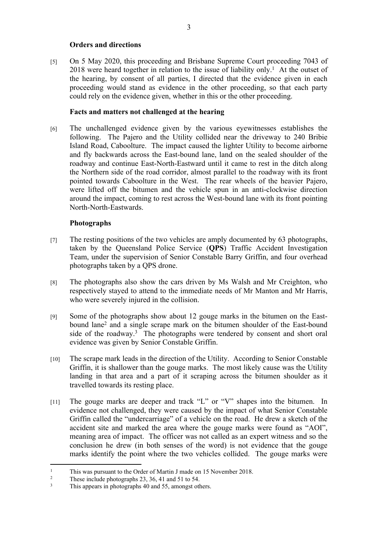### **Orders and directions**

[5] On 5 May 2020, this proceeding and Brisbane Supreme Court proceeding 7043 of  $2018$  were heard together in relation to the issue of liability only.<sup>1</sup> At the outset of the hearing, by consent of all parties, I directed that the evidence given in each proceeding would stand as evidence in the other proceeding, so that each party could rely on the evidence given, whether in this or the other proceeding.

#### **Facts and matters not challenged at the hearing**

[6] The unchallenged evidence given by the various eyewitnesses establishes the following. The Pajero and the Utility collided near the driveway to 240 Bribie Island Road, Caboolture. The impact caused the lighter Utility to become airborne and fly backwards across the East-bound lane, land on the sealed shoulder of the roadway and continue East-North-Eastward until it came to rest in the ditch along the Northern side of the road corridor, almost parallel to the roadway with its front pointed towards Caboolture in the West. The rear wheels of the heavier Pajero, were lifted off the bitumen and the vehicle spun in an anti-clockwise direction around the impact, coming to rest across the West-bound lane with its front pointing North-North-Eastwards.

## **Photographs**

- [7] The resting positions of the two vehicles are amply documented by 63 photographs, taken by the Queensland Police Service (**QPS**) Traffic Accident Investigation Team, under the supervision of Senior Constable Barry Griffin, and four overhead photographs taken by a QPS drone.
- [8] The photographs also show the cars driven by Ms Walsh and Mr Creighton, who respectively stayed to attend to the immediate needs of Mr Manton and Mr Harris, who were severely injured in the collision.
- [9] Some of the photographs show about 12 gouge marks in the bitumen on the Eastbound lane<sup>2</sup> and a single scrape mark on the bitumen shoulder of the East-bound side of the roadway.<sup>3</sup> The photographs were tendered by consent and short oral evidence was given by Senior Constable Griffin.
- [10] The scrape mark leads in the direction of the Utility. According to Senior Constable Griffin, it is shallower than the gouge marks. The most likely cause was the Utility landing in that area and a part of it scraping across the bitumen shoulder as it travelled towards its resting place.
- [11] The gouge marks are deeper and track "L" or "V" shapes into the bitumen. In evidence not challenged, they were caused by the impact of what Senior Constable Griffin called the "undercarriage" of a vehicle on the road. He drew a sketch of the accident site and marked the area where the gouge marks were found as "AOI", meaning area of impact. The officer was not called as an expert witness and so the conclusion he drew (in both senses of the word) is not evidence that the gouge marks identify the point where the two vehicles collided. The gouge marks were

<sup>1</sup> This was pursuant to the Order of Martin J made on 15 November 2018.

<sup>2</sup> These include photographs 23, 36, 41 and 51 to 54.

<sup>3</sup> This appears in photographs 40 and 55, amongst others.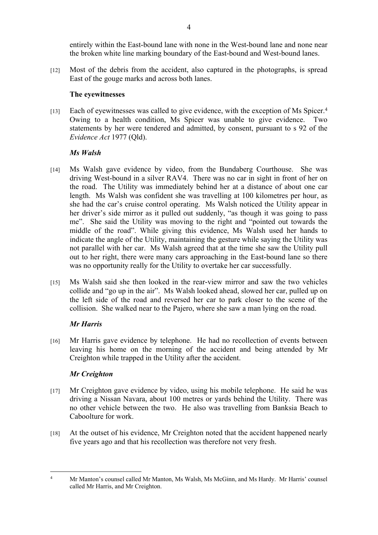entirely within the East-bound lane with none in the West-bound lane and none near the broken white line marking boundary of the East-bound and West-bound lanes.

[12] Most of the debris from the accident, also captured in the photographs, is spread East of the gouge marks and across both lanes.

#### **The eyewitnesses**

[13] Each of eyewitnesses was called to give evidence, with the exception of Ms Spicer.<sup>4</sup> Owing to a health condition, Ms Spicer was unable to give evidence. Two statements by her were tendered and admitted, by consent, pursuant to s 92 of the *Evidence Act* 1977 (Qld).

### *Ms Walsh*

- [14] Ms Walsh gave evidence by video, from the Bundaberg Courthouse. She was driving West-bound in a silver RAV4. There was no car in sight in front of her on the road. The Utility was immediately behind her at a distance of about one car length. Ms Walsh was confident she was travelling at 100 kilometres per hour, as she had the car's cruise control operating. Ms Walsh noticed the Utility appear in her driver's side mirror as it pulled out suddenly, "as though it was going to pass me". She said the Utility was moving to the right and "pointed out towards the middle of the road". While giving this evidence, Ms Walsh used her hands to indicate the angle of the Utility, maintaining the gesture while saying the Utility was not parallel with her car. Ms Walsh agreed that at the time she saw the Utility pull out to her right, there were many cars approaching in the East-bound lane so there was no opportunity really for the Utility to overtake her car successfully.
- [15] Ms Walsh said she then looked in the rear-view mirror and saw the two vehicles collide and "go up in the air". Ms Walsh looked ahead, slowed her car, pulled up on the left side of the road and reversed her car to park closer to the scene of the collision. She walked near to the Pajero, where she saw a man lying on the road.

## *Mr Harris*

[16] Mr Harris gave evidence by telephone. He had no recollection of events between leaving his home on the morning of the accident and being attended by Mr Creighton while trapped in the Utility after the accident.

## *Mr Creighton*

- [17] Mr Creighton gave evidence by video, using his mobile telephone. He said he was driving a Nissan Navara, about 100 metres or yards behind the Utility. There was no other vehicle between the two. He also was travelling from Banksia Beach to Caboolture for work.
- [18] At the outset of his evidence, Mr Creighton noted that the accident happened nearly five years ago and that his recollection was therefore not very fresh.

<sup>4</sup> Mr Manton's counsel called Mr Manton, Ms Walsh, Ms McGinn, and Ms Hardy. Mr Harris' counsel called Mr Harris, and Mr Creighton.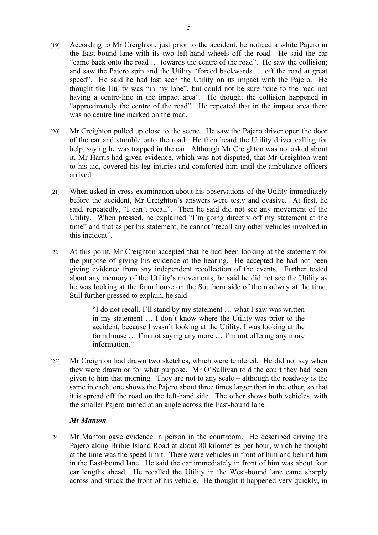- [19] According to Mr Creighton, just prior to the accident, he noticed a white Pajero in the East-bound lane with its two left-hand wheels off the road. He said the car "came back onto the road … towards the centre of the road". He saw the collision; and saw the Pajero spin and the Utility "forced backwards … off the road at great speed". He said he had last seen the Utility on its impact with the Pajero. He thought the Utility was "in my lane", but could not be sure "due to the road not having a centre-line in the impact area". He thought the collision happened in "approximately the centre of the road". He repeated that in the impact area there was no centre line marked on the road.
- [20] Mr Creighton pulled up close to the scene. He saw the Pajero driver open the door of the car and stumble onto the road. He then heard the Utility driver calling for help, saying he was trapped in the car. Although Mr Creighton was not asked about it, Mr Harris had given evidence, which was not disputed, that Mr Creighton went to his aid, covered his leg injuries and comforted him until the ambulance officers arrived.
- [21] When asked in cross-examination about his observations of the Utility immediately before the accident, Mr Creighton's answers were testy and evasive. At first, he said, repeatedly, "I can't recall". Then he said did not see any movement of the Utility. When pressed, he explained "I'm going directly off my statement at the time" and that as per his statement, he cannot "recall any other vehicles involved in this incident".
- [22] At this point, Mr Creighton accepted that he had been looking at the statement for the purpose of giving his evidence at the hearing. He accepted he had not been giving evidence from any independent recollection of the events. Further tested about any memory of the Utility's movements, he said he did not see the Utility as he was looking at the farm house on the Southern side of the roadway at the time. Still further pressed to explain, he said:

"I do not recall. I'll stand by my statement … what I saw was written in my statement … I don't know where the Utility was prior to the accident, because I wasn't looking at the Utility. I was looking at the farm house ... I'm not saying any more ... I'm not offering any more information"

[23] Mr Creighton had drawn two sketches, which were tendered. He did not say when they were drawn or for what purpose. Mr O'Sullivan told the court they had been given to him that morning. They are not to any scale – although the roadway is the same in each, one shows the Pajero about three times larger than in the other, so that it is spread off the road on the left-hand side. The other shows both vehicles, with the smaller Pajero turned at an angle across the East-bound lane.

#### *Mr Manton*

[24] Mr Manton gave evidence in person in the courtroom. He described driving the Pajero along Bribie Island Road at about 80 kilometres per hour, which he thought at the time was the speed limit. There were vehicles in front of him and behind him in the East-bound lane. He said the car immediately in front of him was about four car lengths ahead. He recalled the Utility in the West-bound lane came sharply across and struck the front of his vehicle. He thought it happened very quickly, in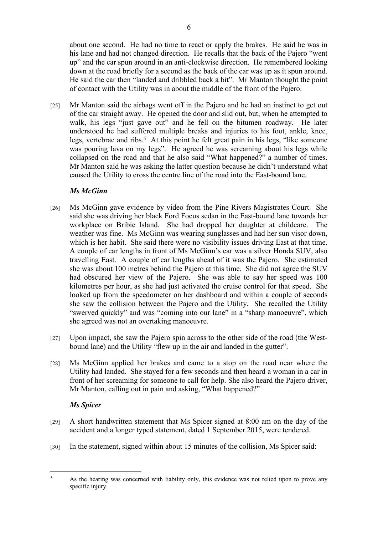about one second. He had no time to react or apply the brakes. He said he was in his lane and had not changed direction. He recalls that the back of the Pajero "went up" and the car spun around in an anti-clockwise direction. He remembered looking down at the road briefly for a second as the back of the car was up as it spun around. He said the car then "landed and dribbled back a bit". Mr Manton thought the point of contact with the Utility was in about the middle of the front of the Pajero.

[25] Mr Manton said the airbags went off in the Pajero and he had an instinct to get out of the car straight away. He opened the door and slid out, but, when he attempted to walk, his legs "just gave out" and he fell on the bitumen roadway. He later understood he had suffered multiple breaks and injuries to his foot, ankle, knee, legs, vertebrae and ribs.<sup>5</sup> At this point he felt great pain in his legs, "like someone was pouring lava on my legs". He agreed he was screaming about his legs while collapsed on the road and that he also said "What happened?" a number of times. Mr Manton said he was asking the latter question because he didn't understand what caused the Utility to cross the centre line of the road into the East-bound lane.

### *Ms McGinn*

- [26] Ms McGinn gave evidence by video from the Pine Rivers Magistrates Court. She said she was driving her black Ford Focus sedan in the East-bound lane towards her workplace on Bribie Island. She had dropped her daughter at childcare. The weather was fine. Ms McGinn was wearing sunglasses and had her sun visor down, which is her habit. She said there were no visibility issues driving East at that time. A couple of car lengths in front of Ms McGinn's car was a silver Honda SUV, also travelling East. A couple of car lengths ahead of it was the Pajero. She estimated she was about 100 metres behind the Pajero at this time. She did not agree the SUV had obscured her view of the Pajero. She was able to say her speed was 100 kilometres per hour, as she had just activated the cruise control for that speed. She looked up from the speedometer on her dashboard and within a couple of seconds she saw the collision between the Pajero and the Utility. She recalled the Utility "swerved quickly" and was "coming into our lane" in a "sharp manoeuvre", which she agreed was not an overtaking manoeuvre.
- [27] Upon impact, she saw the Pajero spin across to the other side of the road (the Westbound lane) and the Utility "flew up in the air and landed in the gutter".
- [28] Ms McGinn applied her brakes and came to a stop on the road near where the Utility had landed. She stayed for a few seconds and then heard a woman in a car in front of her screaming for someone to call for help. She also heard the Pajero driver, Mr Manton, calling out in pain and asking, "What happened?"

#### *Ms Spicer*

- [29] A short handwritten statement that Ms Spicer signed at 8:00 am on the day of the accident and a longer typed statement, dated 1 September 2015, were tendered.
- [30] In the statement, signed within about 15 minutes of the collision, Ms Spicer said:

<sup>5</sup> As the hearing was concerned with liability only, this evidence was not relied upon to prove any specific injury.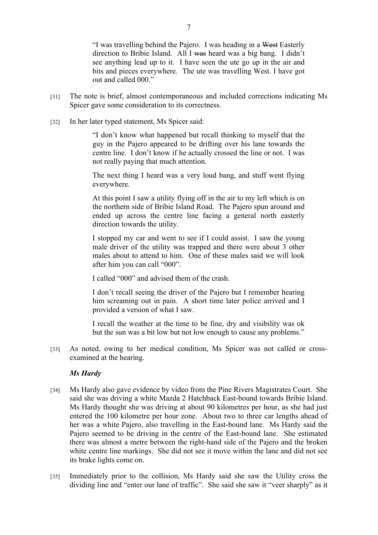"I was travelling behind the Pajero. I was heading in a West Easterly direction to Bribie Island. All I was heard was a big bang. I didn't see anything lead up to it. I have seen the ute go up in the air and bits and pieces everywhere. The ute was travelling West. I have got out and called 000."

- [31] The note is brief, almost contemporaneous and included corrections indicating Ms Spicer gave some consideration to its correctness.
- [32] In her later typed statement, Ms Spicer said:

"I don't know what happened but recall thinking to myself that the guy in the Pajero appeared to be drifting over his lane towards the centre line. I don't know if he actually crossed the line or not. I was not really paying that much attention.

The next thing I heard was a very loud bang, and stuff went flying everywhere.

At this point I saw a utility flying off in the air to my left which is on the northern side of Bribie Island Road. The Pajero spun around and ended up across the centre line facing a general north easterly direction towards the utility.

I stopped my car and went to see if I could assist. I saw the young male driver of the utility was trapped and there were about 3 other males about to attend to him. One of these males said we will look after him you can call "000".

I called "000" and advised them of the crash.

I don't recall seeing the driver of the Pajero but I remember hearing him screaming out in pain. A short time later police arrived and I provided a version of what I saw.

I recall the weather at the time to be fine, dry and visibility was ok but the sun was a bit low but not low enough to cause any problems."

[33] As noted, owing to her medical condition, Ms Spicer was not called or crossexamined at the hearing.

#### *Ms Hardy*

- [34] Ms Hardy also gave evidence by video from the Pine Rivers Magistrates Court. She said she was driving a white Mazda 2 Hatchback East-bound towards Bribie Island. Ms Hardy thought she was driving at about 90 kilometres per hour, as she had just entered the 100 kilometre per hour zone. About two to three car lengths ahead of her was a white Pajero, also travelling in the East-bound lane. Ms Hardy said the Pajero seemed to be driving in the centre of the East-bound lane. She estimated there was almost a metre between the right-hand side of the Pajero and the broken white centre line markings. She did not see it move within the lane and did not see its brake lights come on.
- [35] Immediately prior to the collision, Ms Hardy said she saw the Utility cross the dividing line and "enter our lane of traffic". She said she saw it "veer sharply" as it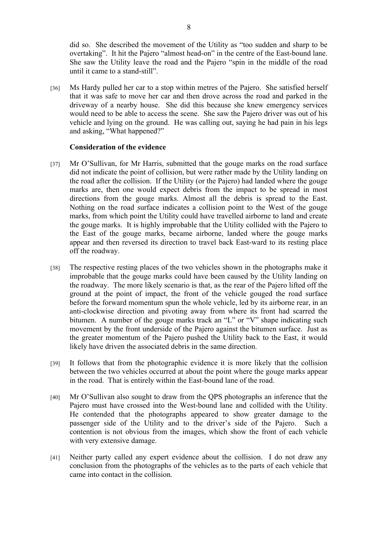did so. She described the movement of the Utility as "too sudden and sharp to be overtaking". It hit the Pajero "almost head-on" in the centre of the East-bound lane. She saw the Utility leave the road and the Pajero "spin in the middle of the road until it came to a stand-still".

[36] Ms Hardy pulled her car to a stop within metres of the Pajero. She satisfied herself that it was safe to move her car and then drove across the road and parked in the driveway of a nearby house. She did this because she knew emergency services would need to be able to access the scene. She saw the Pajero driver was out of his vehicle and lying on the ground. He was calling out, saying he had pain in his legs and asking, "What happened?"

#### **Consideration of the evidence**

- [37] Mr O'Sullivan, for Mr Harris, submitted that the gouge marks on the road surface did not indicate the point of collision, but were rather made by the Utility landing on the road after the collision. If the Utility (or the Pajero) had landed where the gouge marks are, then one would expect debris from the impact to be spread in most directions from the gouge marks. Almost all the debris is spread to the East. Nothing on the road surface indicates a collision point to the West of the gouge marks, from which point the Utility could have travelled airborne to land and create the gouge marks. It is highly improbable that the Utility collided with the Pajero to the East of the gouge marks, became airborne, landed where the gouge marks appear and then reversed its direction to travel back East-ward to its resting place off the roadway.
- [38] The respective resting places of the two vehicles shown in the photographs make it improbable that the gouge marks could have been caused by the Utility landing on the roadway. The more likely scenario is that, as the rear of the Pajero lifted off the ground at the point of impact, the front of the vehicle gouged the road surface before the forward momentum spun the whole vehicle, led by its airborne rear, in an anti-clockwise direction and pivoting away from where its front had scarred the bitumen. A number of the gouge marks track an "L" or "V" shape indicating such movement by the front underside of the Pajero against the bitumen surface. Just as the greater momentum of the Pajero pushed the Utility back to the East, it would likely have driven the associated debris in the same direction.
- [39] It follows that from the photographic evidence it is more likely that the collision between the two vehicles occurred at about the point where the gouge marks appear in the road. That is entirely within the East-bound lane of the road.
- [40] Mr O'Sullivan also sought to draw from the QPS photographs an inference that the Pajero must have crossed into the West-bound lane and collided with the Utility. He contended that the photographs appeared to show greater damage to the passenger side of the Utility and to the driver's side of the Pajero. Such a contention is not obvious from the images, which show the front of each vehicle with very extensive damage.
- [41] Neither party called any expert evidence about the collision. I do not draw any conclusion from the photographs of the vehicles as to the parts of each vehicle that came into contact in the collision.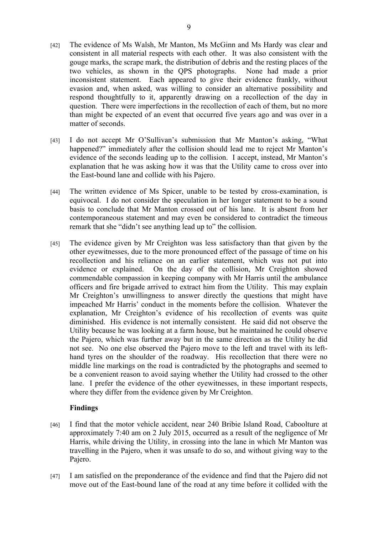- [42] The evidence of Ms Walsh, Mr Manton, Ms McGinn and Ms Hardy was clear and consistent in all material respects with each other. It was also consistent with the gouge marks, the scrape mark, the distribution of debris and the resting places of the two vehicles, as shown in the QPS photographs. None had made a prior inconsistent statement. Each appeared to give their evidence frankly, without evasion and, when asked, was willing to consider an alternative possibility and respond thoughtfully to it, apparently drawing on a recollection of the day in question. There were imperfections in the recollection of each of them, but no more than might be expected of an event that occurred five years ago and was over in a matter of seconds.
- [43] I do not accept Mr O'Sullivan's submission that Mr Manton's asking, "What happened?" immediately after the collision should lead me to reject Mr Manton's evidence of the seconds leading up to the collision. I accept, instead, Mr Manton's explanation that he was asking how it was that the Utility came to cross over into the East-bound lane and collide with his Pajero.
- [44] The written evidence of Ms Spicer, unable to be tested by cross-examination, is equivocal. I do not consider the speculation in her longer statement to be a sound basis to conclude that Mr Manton crossed out of his lane. It is absent from her contemporaneous statement and may even be considered to contradict the timeous remark that she "didn't see anything lead up to" the collision.
- [45] The evidence given by Mr Creighton was less satisfactory than that given by the other eyewitnesses, due to the more pronounced effect of the passage of time on his recollection and his reliance on an earlier statement, which was not put into evidence or explained. On the day of the collision, Mr Creighton showed commendable compassion in keeping company with Mr Harris until the ambulance officers and fire brigade arrived to extract him from the Utility. This may explain Mr Creighton's unwillingness to answer directly the questions that might have impeached Mr Harris' conduct in the moments before the collision. Whatever the explanation, Mr Creighton's evidence of his recollection of events was quite diminished. His evidence is not internally consistent. He said did not observe the Utility because he was looking at a farm house, but he maintained he could observe the Pajero, which was further away but in the same direction as the Utility he did not see. No one else observed the Pajero move to the left and travel with its lefthand tyres on the shoulder of the roadway. His recollection that there were no middle line markings on the road is contradicted by the photographs and seemed to be a convenient reason to avoid saying whether the Utility had crossed to the other lane. I prefer the evidence of the other eyewitnesses, in these important respects, where they differ from the evidence given by Mr Creighton.

## **Findings**

- [46] I find that the motor vehicle accident, near 240 Bribie Island Road, Caboolture at approximately 7:40 am on 2 July 2015, occurred as a result of the negligence of Mr Harris, while driving the Utility, in crossing into the lane in which Mr Manton was travelling in the Pajero, when it was unsafe to do so, and without giving way to the Pajero.
- [47] I am satisfied on the preponderance of the evidence and find that the Pajero did not move out of the East-bound lane of the road at any time before it collided with the